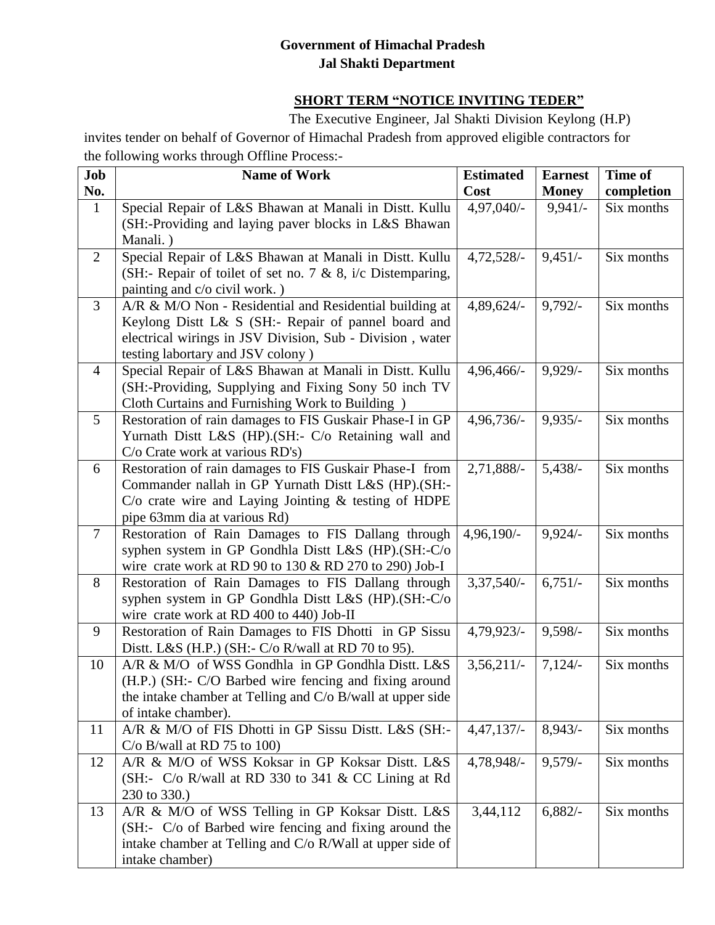## **Government of Himachal Pradesh Jal Shakti Department**

## **SHORT TERM "NOTICE INVITING TEDER"**

The Executive Engineer, Jal Shakti Division Keylong (H.P) invites tender on behalf of Governor of Himachal Pradesh from approved eligible contractors for the following works through Offline Process:-

| Job             | <b>Name of Work</b>                                                                                                    | <b>Estimated</b> | <b>Earnest</b> | Time of    |
|-----------------|------------------------------------------------------------------------------------------------------------------------|------------------|----------------|------------|
| No.             |                                                                                                                        | Cost             | <b>Money</b>   | completion |
| $\mathbf{1}$    | Special Repair of L&S Bhawan at Manali in Distt. Kullu                                                                 | 4,97,040/-       | $9,941/-$      | Six months |
|                 | (SH:-Providing and laying paver blocks in L&S Bhawan                                                                   |                  |                |            |
|                 | Manali.)                                                                                                               |                  |                |            |
| $\overline{2}$  | Special Repair of L&S Bhawan at Manali in Distt. Kullu                                                                 | $4,72,528/-$     | $9,451/-$      | Six months |
|                 | (SH:- Repair of toilet of set no. 7 & 8, i/c Distemparing,                                                             |                  |                |            |
|                 | painting and c/o civil work.)                                                                                          |                  |                |            |
| 3               | A/R & M/O Non - Residential and Residential building at                                                                | 4,89,624/-       | $9,792/-$      | Six months |
|                 | Keylong Distt L& S (SH:- Repair of pannel board and                                                                    |                  |                |            |
|                 | electrical wirings in JSV Division, Sub - Division, water                                                              |                  |                |            |
|                 | testing labortary and JSV colony)                                                                                      |                  |                |            |
| $\overline{4}$  | Special Repair of L&S Bhawan at Manali in Distt. Kullu                                                                 | 4,96,466/-       | $9,929/-$      | Six months |
|                 | (SH:-Providing, Supplying and Fixing Sony 50 inch TV                                                                   |                  |                |            |
| $5\overline{)}$ | Cloth Curtains and Furnishing Work to Building )<br>Restoration of rain damages to FIS Guskair Phase-I in GP           | 4,96,736/-       | $9,935/-$      | Six months |
|                 | Yurnath Distt L&S (HP).(SH:- C/o Retaining wall and                                                                    |                  |                |            |
|                 | C/o Crate work at various RD's)                                                                                        |                  |                |            |
| 6               | Restoration of rain damages to FIS Guskair Phase-I from                                                                | 2,71,888/-       | 5,438/         | Six months |
|                 | Commander nallah in GP Yurnath Distt L&S (HP).(SH:-                                                                    |                  |                |            |
|                 | $C$ /o crate wire and Laying Jointing $\&$ testing of HDPE                                                             |                  |                |            |
|                 | pipe 63mm dia at various Rd)                                                                                           |                  |                |            |
| $7\overline{ }$ | Restoration of Rain Damages to FIS Dallang through                                                                     | 4,96,190/-       | $9,924/-$      | Six months |
|                 | syphen system in GP Gondhla Distt L&S (HP).(SH:-C/o                                                                    |                  |                |            |
|                 | wire crate work at RD 90 to 130 $\&$ RD 270 to 290) Job-I                                                              |                  |                |            |
| 8               | Restoration of Rain Damages to FIS Dallang through                                                                     | 3,37,540/-       | $6,751/-$      | Six months |
|                 | syphen system in GP Gondhla Distt L&S (HP).(SH:-C/o                                                                    |                  |                |            |
|                 | wire crate work at RD 400 to 440) Job-II                                                                               |                  |                |            |
| 9               | Restoration of Rain Damages to FIS Dhotti in GP Sissu                                                                  | 4,79,923/-       | $9,598/-$      | Six months |
|                 | Distt. L&S (H.P.) (SH:- $C/O$ R/wall at RD 70 to 95).                                                                  |                  |                |            |
| 10              | A/R & M/O of WSS Gondhla in GP Gondhla Distt. L&S                                                                      | 3,56,211/        | $7,124/-$      | Six months |
|                 | (H.P.) (SH:- C/O Barbed wire fencing and fixing around<br>the intake chamber at Telling and $C/O$ B/wall at upper side |                  |                |            |
|                 | of intake chamber).                                                                                                    |                  |                |            |
| 11              | A/R & M/O of FIS Dhotti in GP Sissu Distt. L&S (SH:-                                                                   | $4,47,137/-$     | 8,943/         | Six months |
|                 | $C/O$ B/wall at RD 75 to 100)                                                                                          |                  |                |            |
| 12              | A/R & M/O of WSS Koksar in GP Koksar Distt. L&S                                                                        | 4,78,948/-       | $9,579/-$      | Six months |
|                 | (SH:- C/o R/wall at RD 330 to 341 & CC Lining at Rd                                                                    |                  |                |            |
|                 | 230 to 330.)                                                                                                           |                  |                |            |
| 13              | A/R & M/O of WSS Telling in GP Koksar Distt. L&S                                                                       | 3,44,112         | $6,882/-$      | Six months |
|                 | (SH:- C/o of Barbed wire fencing and fixing around the                                                                 |                  |                |            |
|                 | intake chamber at Telling and C/o R/Wall at upper side of                                                              |                  |                |            |
|                 | intake chamber)                                                                                                        |                  |                |            |